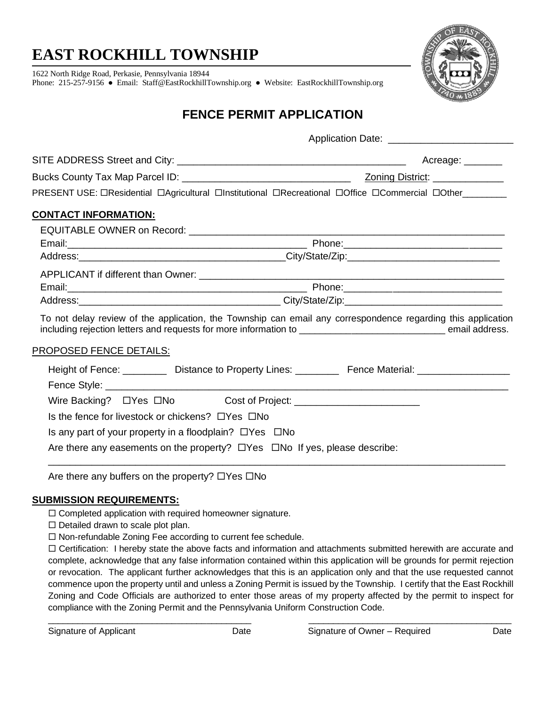# **EAST ROCKHILL TOWNSHIP**

1622 North Ridge Road, Perkasie, Pennsylvania 18944 Phone: 215-257-9156 ● Email: [Staff@EastRockhillTownship.org](mailto:Staff@EastRockhillTownship.org) ● Website: [EastRockhillTownship.org](http://www.eastrockhilltownship.org/)



## **FENCE PERMIT APPLICATION**

|                                                                                        | Acreage: ______                                                                                              |
|----------------------------------------------------------------------------------------|--------------------------------------------------------------------------------------------------------------|
|                                                                                        |                                                                                                              |
|                                                                                        | PRESENT USE: OResidential DAgricultural Olnstitutional ORecreational OOffice OCommercial OOther________      |
| <u>CONTACT INFORMATION:</u>                                                            |                                                                                                              |
|                                                                                        |                                                                                                              |
|                                                                                        |                                                                                                              |
|                                                                                        |                                                                                                              |
|                                                                                        |                                                                                                              |
|                                                                                        |                                                                                                              |
|                                                                                        |                                                                                                              |
|                                                                                        | To not delay review of the application, the Township can email any correspondence regarding this application |
| PROPOSED FENCE DETAILS:                                                                |                                                                                                              |
|                                                                                        | Height of Fence: ___________ Distance to Property Lines: ___________ Fence Material: _____________________   |
|                                                                                        |                                                                                                              |
|                                                                                        |                                                                                                              |
| Is the fence for livestock or chickens? $\Box$ Yes $\Box$ No                           |                                                                                                              |
| Is any part of your property in a floodplain? $\Box$ Yes $\Box$ No                     |                                                                                                              |
| Are there any easements on the property? $\Box$ Yes $\Box$ No If yes, please describe: |                                                                                                              |

Are there any buffers on the property?  $\Box$  Yes  $\Box$  No

#### **SUBMISSION REQUIREMENTS:**

 $\Box$  Completed application with required homeowner signature.

 $\square$  Detailed drawn to scale plot plan.

 $\Box$  Non-refundable Zoning Fee according to current fee schedule.

 Certification: I hereby state the above facts and information and attachments submitted herewith are accurate and complete, acknowledge that any false information contained within this application will be grounds for permit rejection or revocation. The applicant further acknowledges that this is an application only and that the use requested cannot commence upon the property until and unless a Zoning Permit is issued by the Township. I certify that the East Rockhill Zoning and Code Officials are authorized to enter those areas of my property affected by the permit to inspect for compliance with the Zoning Permit and the Pennsylvania Uniform Construction Code.

 $\_$  ,  $\_$  ,  $\_$  ,  $\_$  ,  $\_$  ,  $\_$  ,  $\_$  ,  $\_$  ,  $\_$  ,  $\_$  ,  $\_$  ,  $\_$  ,  $\_$  ,  $\_$  ,  $\_$  ,  $\_$  ,  $\_$  ,  $\_$  ,  $\_$  ,  $\_$  ,  $\_$  ,  $\_$  ,  $\_$  ,  $\_$  ,  $\_$  ,  $\_$  ,  $\_$  ,  $\_$  ,  $\_$  ,  $\_$  ,  $\_$  ,  $\_$  ,  $\_$  ,  $\_$  ,  $\_$  ,  $\_$  ,  $\_$  ,

\_\_\_\_\_\_\_\_\_\_\_\_\_\_\_\_\_\_\_\_\_\_\_\_\_\_\_\_\_\_\_\_\_\_\_\_\_\_\_\_\_\_\_\_\_\_\_\_\_\_\_\_\_\_\_\_\_\_\_\_\_\_\_\_\_\_\_\_\_\_\_\_\_\_\_\_\_\_\_\_\_\_\_\_